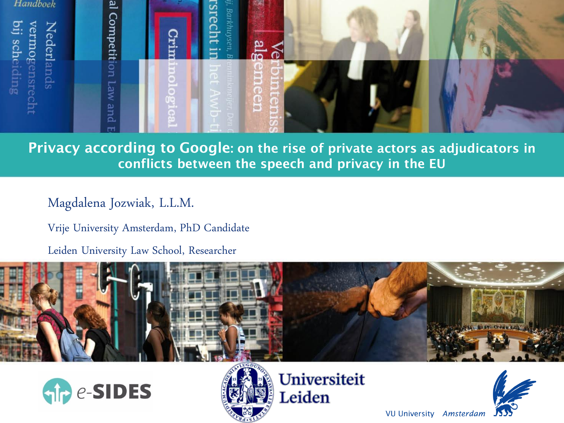

#### Privacy according to Google: on the rise of private actors as adjudicators in conflicts between the speech and privacy in the EU

Magdalena Jozwiak, L.L.M.

Vrije University Amsterdam, PhD Candidate

Leiden University Law School, Researcher







Universiteit Leiden



**VU University Amsterdam**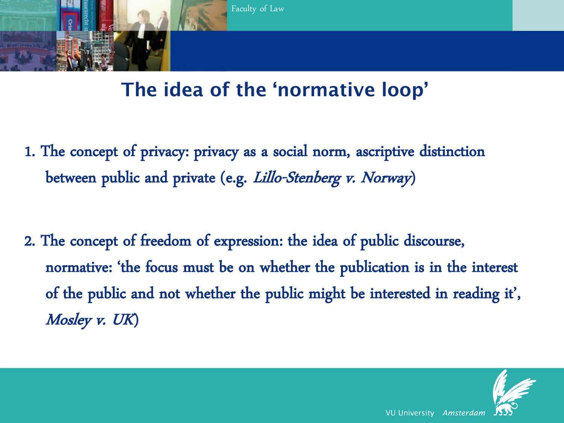

#### The idea of the 'normative loop'

1. The concept of privacy: privacy as a social norm, ascriptive distinction between public and private (e.g. Lillo-Stenberg v. Norway)

2. The concept of freedom of expression: the idea of public discourse, normative: 'the focus must be on whether the publication is in the interest of the public and not whether the public might be interested in reading it', Mosley v. UK)

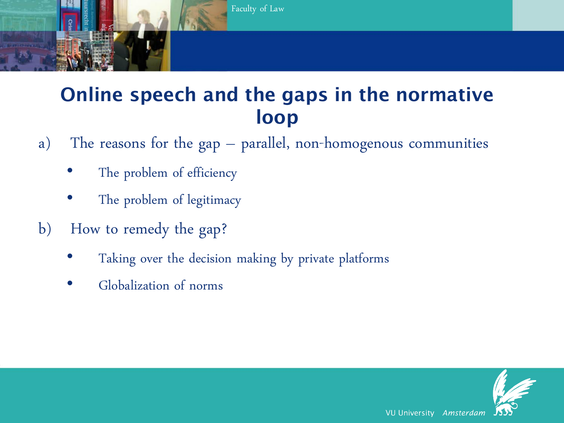

### Online speech and the gaps in the normative loop

- a) The reasons for the gap parallel, non-homogenous communities
	- The problem of efficiency
	- The problem of legitimacy
- b) How to remedy the gap?
	- Taking over the decision making by private platforms
	- Globalization of norms

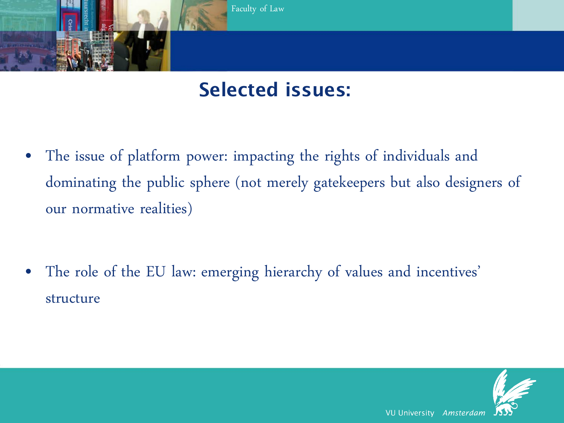

### Selected issues:

• The issue of platform power: impacting the rights of individuals and dominating the public sphere (not merely gatekeepers but also designers of our normative realities)

• The role of the EU law: emerging hierarchy of values and incentives' structure

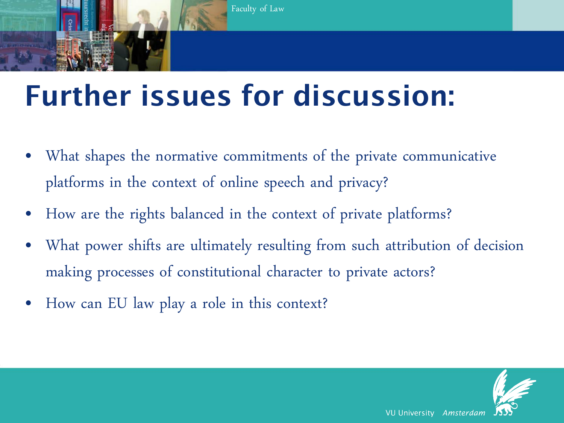

## Further issues for discussion:

- What shapes the normative commitments of the private communicative platforms in the context of online speech and privacy?
- How are the rights balanced in the context of private platforms?
- What power shifts are ultimately resulting from such attribution of decision making processes of constitutional character to private actors?
- How can EU law play a role in this context?